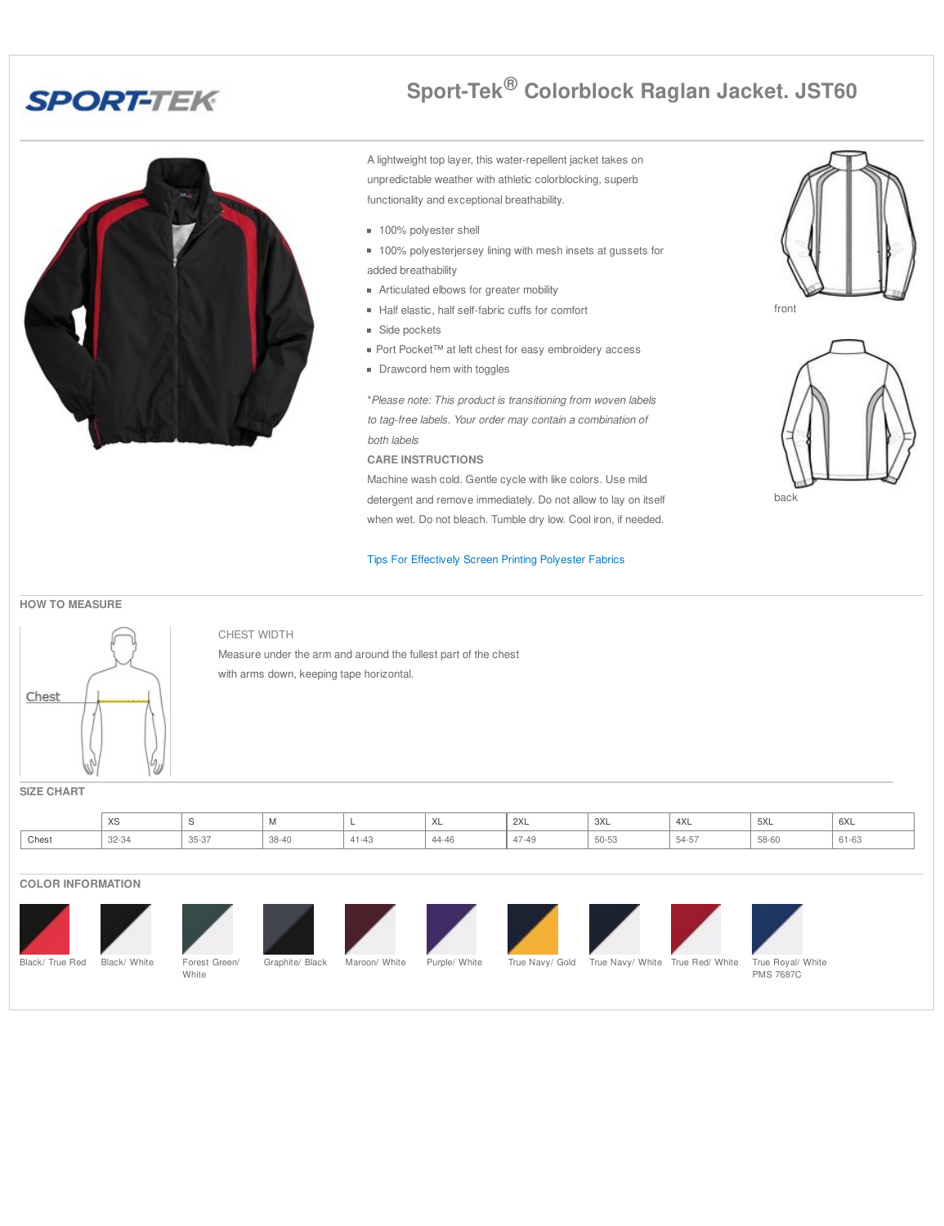# **SPORT-TEK**



**Sport-Tek® Colorblock Raglan Jacket. JST60**

A lightweight top layer, this water-repellent jacket takes on unpredictable weather with athletic colorblocking, superb functionality and exceptional breathability.

- 100% polyester shell
- **100% polyesterjersey lining with mesh insets at gussets for** added breathability
- **Articulated elbows for greater mobility**
- Half elastic, half self-fabric cuffs for comfort
- **Side pockets**
- Port Pocket™ at left chest for easy embroidery access
- **Drawcord hem with toggles**

\**Please note: This product is transitioning from woven labels to tag-free labels. Your order may contain a combination of both labels*

**CARE INSTRUCTIONS**

Machine wash cold. Gentle cycle with like colors. Use mild detergent and remove immediately. Do not allow to lay on itself when wet. Do not bleach. Tumble dry low. Cool iron, if needed.

#### Tips For [Effectively](http://www.apparelvideos.com/docs/downloads/UPDATEDTipsforEffectivelyScreenprintingPolyesterFabrics4.12.pdf) Screen Printing Polyester Fabrics





back

#### **HOW TO MEASURE**



CHEST WIDTH

Measure under the arm and around the fullest part of the chest with arms down, keeping tape horizontal.

#### **SIZE CHART**

|       | $\lambda$<br>$\sim$ |                      | <b>IVI</b> |         | $\mathcal{L}$<br>⌒⌒ | 2XL                     | 3XL   | 4XL             | 5XL   | $\sim$<br>6XL |
|-------|---------------------|----------------------|------------|---------|---------------------|-------------------------|-------|-----------------|-------|---------------|
| Chest | 32-34               | $0 - 0$<br>$35 - 37$ | 38-40      | $A - A$ | 44-40               | $\Lambda$ $\cap$<br>-45 | 50-53 | --<br>$54 - 57$ | 58-60 | $1 - 0$       |

#### **COLOR INFORMATION**













Graphite/ Black Maroon/ White Purple/ White True Navy/ Gold True Navy/ White True Red/ White True Royal/ White PMS 7687C

**White** 













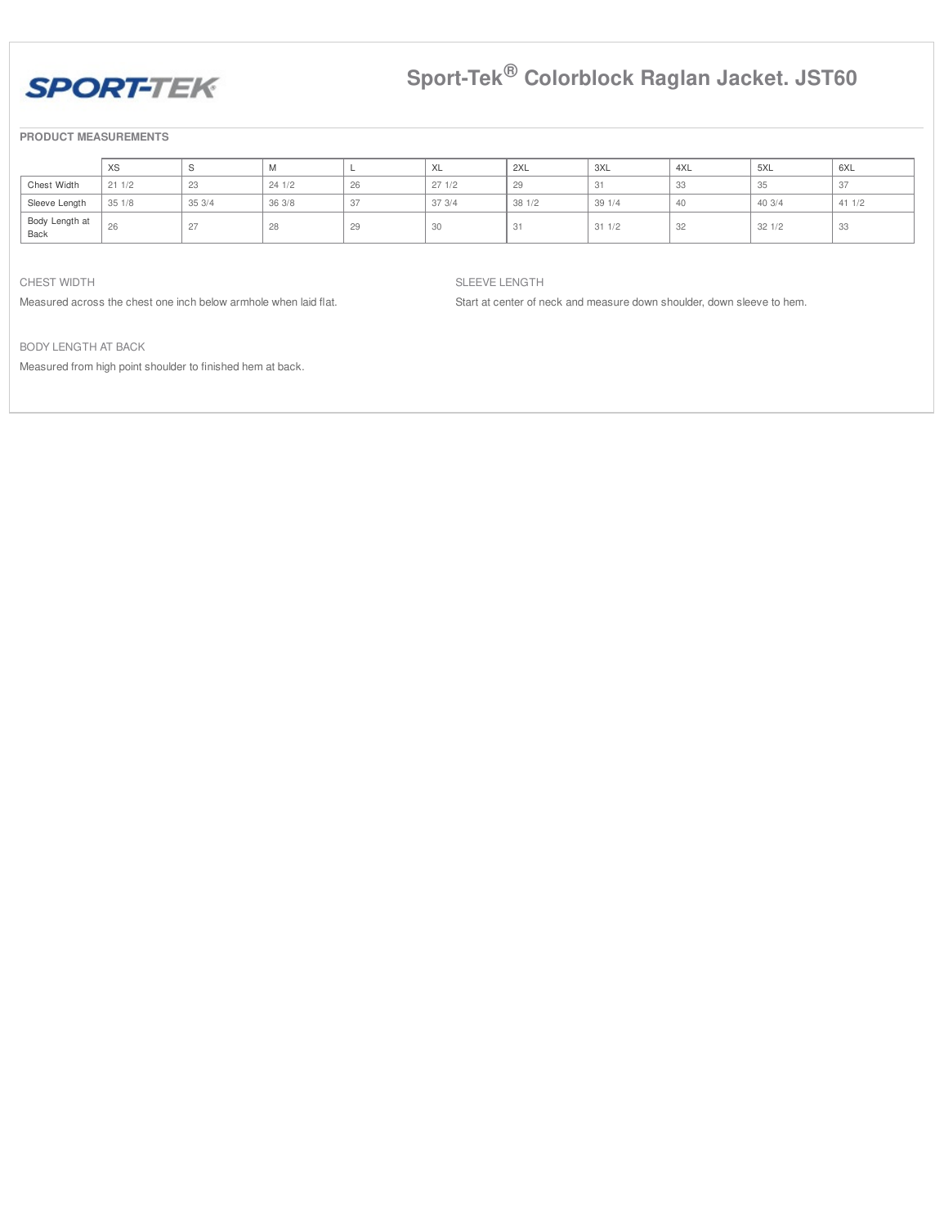

# **Sport-Tek® Colorblock Raglan Jacket. JST60**

#### **PRODUCT MEASUREMENTS**

|                        | XS    |       | <b>IVI</b> |    | XL    | 2XL    | 3XL   | 4XL | 5XL   | 6XL   |
|------------------------|-------|-------|------------|----|-------|--------|-------|-----|-------|-------|
| Chest Width            | 211/2 | 23    | 241/2      | 26 | 271/2 | 29     | 31    | υU  | 35    | 37    |
| Sleeve Length          | 351/8 | 353/4 | 36 3/8     | 37 | 373/4 | 381//2 | 391/4 | 40  | 403/4 | 411/2 |
| Body Length at<br>Back | 26    | 27    | 28         | 29 | 30    | 31     | 311/2 | 32  | 321/2 | 33    |

#### CHEST WIDTH

Measured across the chest one inch below armhole when laid flat.

#### SLEEVE LENGTH

Start at center of neck and measure down shoulder, down sleeve to hem.

BODY LENGTH AT BACK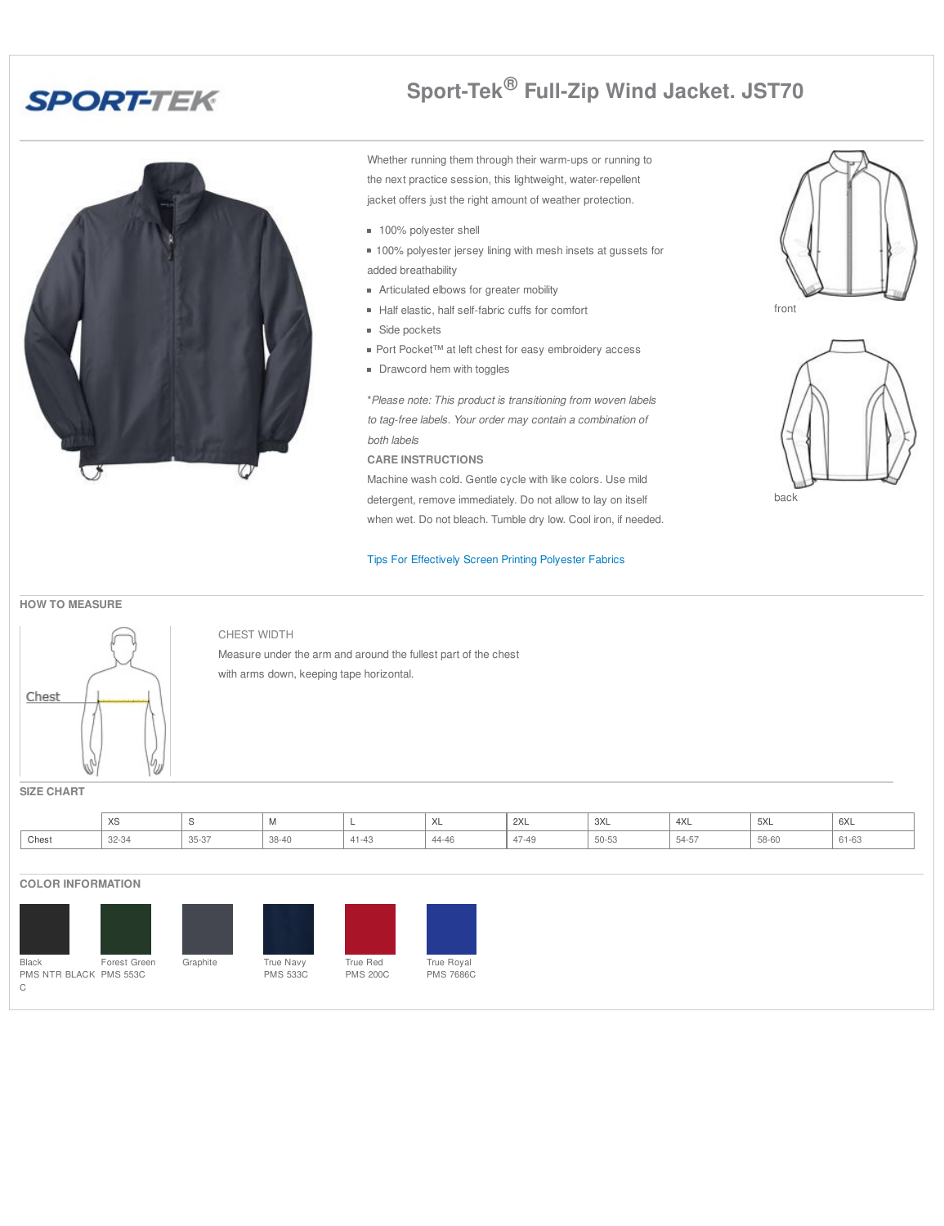# **SPORT-TEK**

# Ø

# **Sport-Tek® Full-Zip Wind Jacket. JST70**

Whether running them through their warm-ups or running to the next practice session, this lightweight, water-repellent jacket offers just the right amount of weather protection.

- 100% polyester shell
- **100% polyester jersey lining with mesh insets at gussets for** added breathability
- **Articulated elbows for greater mobility**
- Half elastic, half self-fabric cuffs for comfort
- **Side pockets**
- Port Pocket™ at left chest for easy embroidery access
- **Drawcord hem with toggles**

\**Please note: This product is transitioning from woven labels to tag-free labels. Your order may contain a combination of both labels*

**CARE INSTRUCTIONS**

Machine wash cold. Gentle cycle with like colors. Use mild detergent, remove immediately. Do not allow to lay on itself when wet. Do not bleach. Tumble dry low. Cool iron, if needed.

#### Tips For [Effectively](http://www.apparelvideos.com/docs/downloads/UPDATEDTipsforEffectivelyScreenprintingPolyesterFabrics4.12.pdf) Screen Printing Polyester Fabrics





#### **HOW TO MEASURE**



## CHEST WIDTH Measure under the arm and around the fullest part of the chest with arms down, keeping tape horizontal.

**SIZE CHART**

|       | $\vee$<br>∧ວ  |                                        |       |           | ハヒ                          | 2XL   | 3XL<br>$\sim$ $\sim$ | 4XL   | FVI<br>5XL | $\sim$<br><b>bXL</b> |
|-------|---------------|----------------------------------------|-------|-----------|-----------------------------|-------|----------------------|-------|------------|----------------------|
| Chest | 32-34<br>$ -$ | $\sim$ $ \sim$ $-$<br>$m - 1$<br>JJ-J7 | 38-40 | $41 - 43$ | $\Lambda$ $\Gamma$<br>44-46 | 47-49 | 50-53                | J4-D. | 58-60      | $\sim$<br>01-03      |

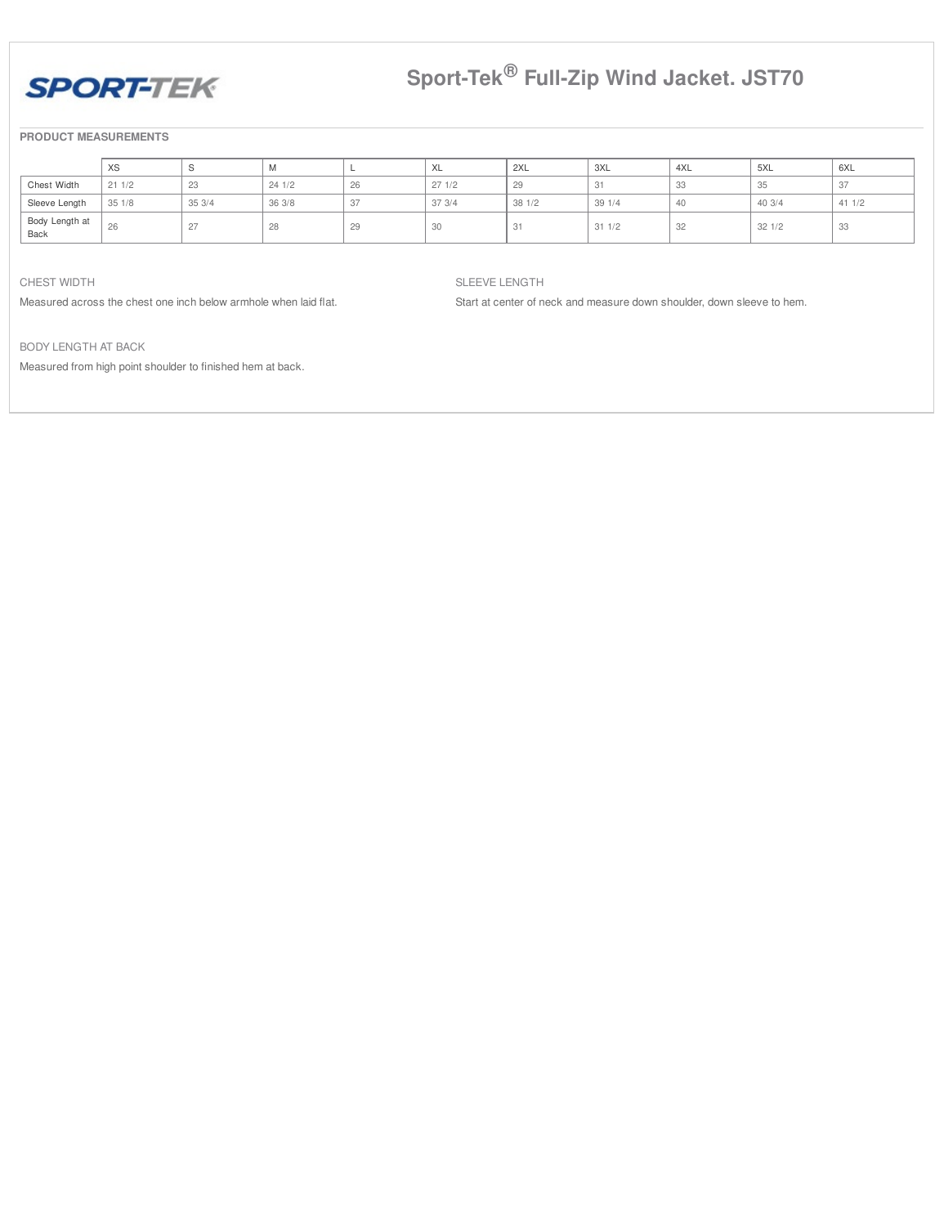

# **Sport-Tek® Full-Zip Wind Jacket. JST70**

#### **PRODUCT MEASUREMENTS**

|                        | XS    |       | M      |    | ハヒ    | 2XL    | 3XL   | 4XL | 5XL    | ' 6XL  |
|------------------------|-------|-------|--------|----|-------|--------|-------|-----|--------|--------|
| Chest Width            | 211/2 | 23    | 241/2  | 26 | 271/2 | 29     | 31    | ಀಀ  | 35     | -37    |
| Sleeve Length          | 351/8 | 353/4 | 36 3/8 | 27 | 373/4 | 38 1/2 | 391/4 | 40  | 40 3/4 | 41 1/2 |
| Body Length at<br>Back | 26    | 27    | 28     | Lΰ | 30    | 31     | 311/2 | 32  | 321/2  | 33     |

#### CHEST WIDTH

Measured across the chest one inch below armhole when laid flat.

#### SLEEVE LENGTH

Start at center of neck and measure down shoulder, down sleeve to hem.

BODY LENGTH AT BACK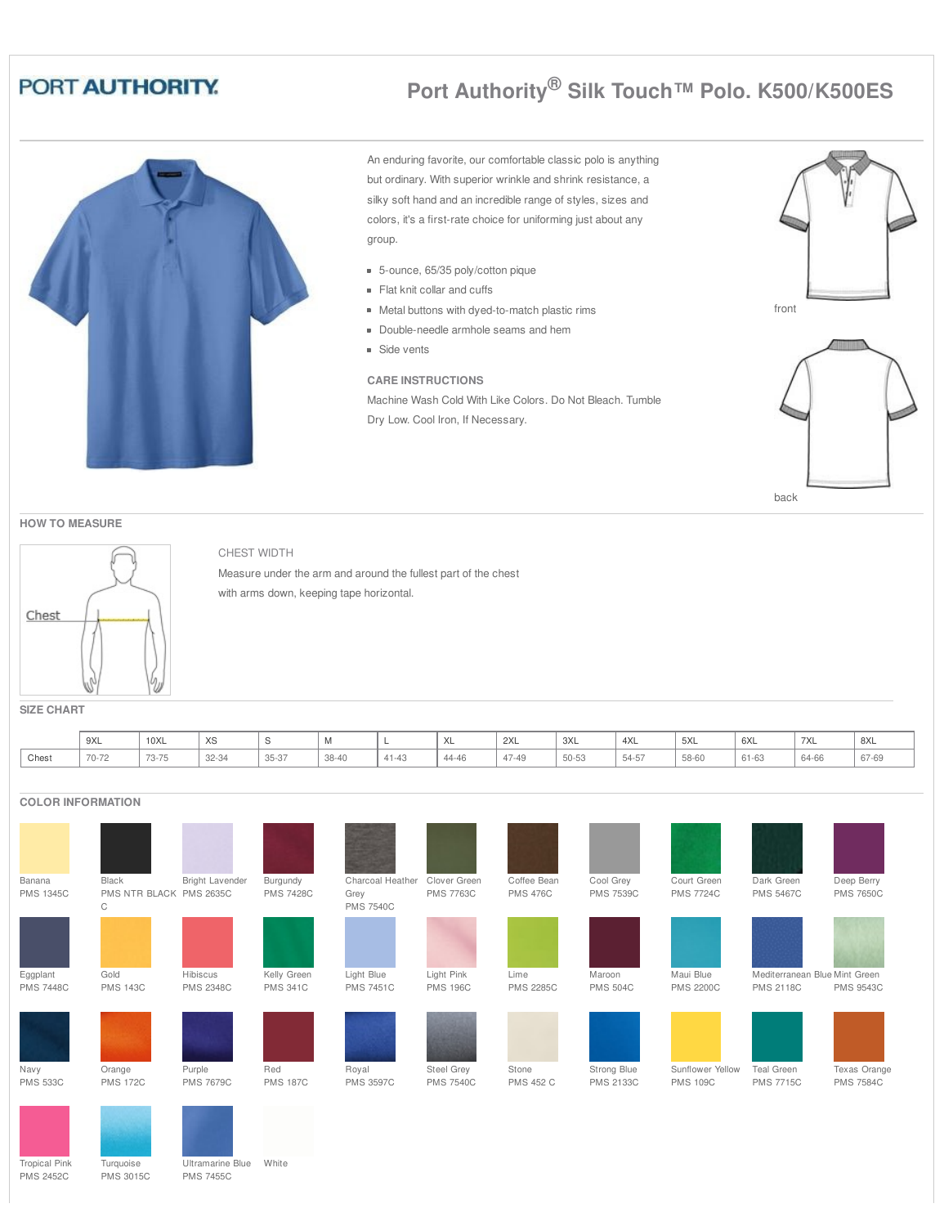# **Port Authority® Silk Touch™ Polo. K500/K500ES**

An enduring favorite, our comfortable classic polo is anything but ordinary. With superior wrinkle and shrink resistance, a silky soft hand and an incredible range of styles, sizes and colors, it's a first-rate choice for uniforming just about any group.

- 5-ounce, 65/35 poly/cotton pique
- Flat knit collar and cuffs
- Metal buttons with dyed-to-match plastic rims
- Double-needle armhole seams and hem
- **Side vents**

## **CARE INSTRUCTIONS**

Machine Wash Cold With Like Colors. Do Not Bleach. Tumble Dry Low. Cool Iron, If Necessary.





**HOW TO MEASURE**



## CHEST WIDTH

Measure under the arm and around the fullest part of the chest with arms down, keeping tape horizontal.

**SIZE CHART**

|       | 9XL   | 10XL                              | $\sqrt{2}$<br>ົ∧ບ |       | $\cdots$ | -                    | $\sqrt{2}$ | 2XL   | 3XL   | 4XL   | 5XL   | 6XL           | 7XL   | 8XL   |
|-------|-------|-----------------------------------|-------------------|-------|----------|----------------------|------------|-------|-------|-------|-------|---------------|-------|-------|
| Chest | 70-72 | $\overline{\phantom{a}}$<br>73-75 | 32-34             | 35-37 | 38-40    | $4.4 - 4.0$<br>41-43 | 44-46      | 47-49 | 50-53 | 54-57 | 58-60 | <b>b</b> 1-b3 | 64-66 | 67-69 |

## **COLOR INFORMATION**



Tropical Pink PMS 2452C

Turquoise PMS 3015C Ultramarine Blue PMS 7455C

White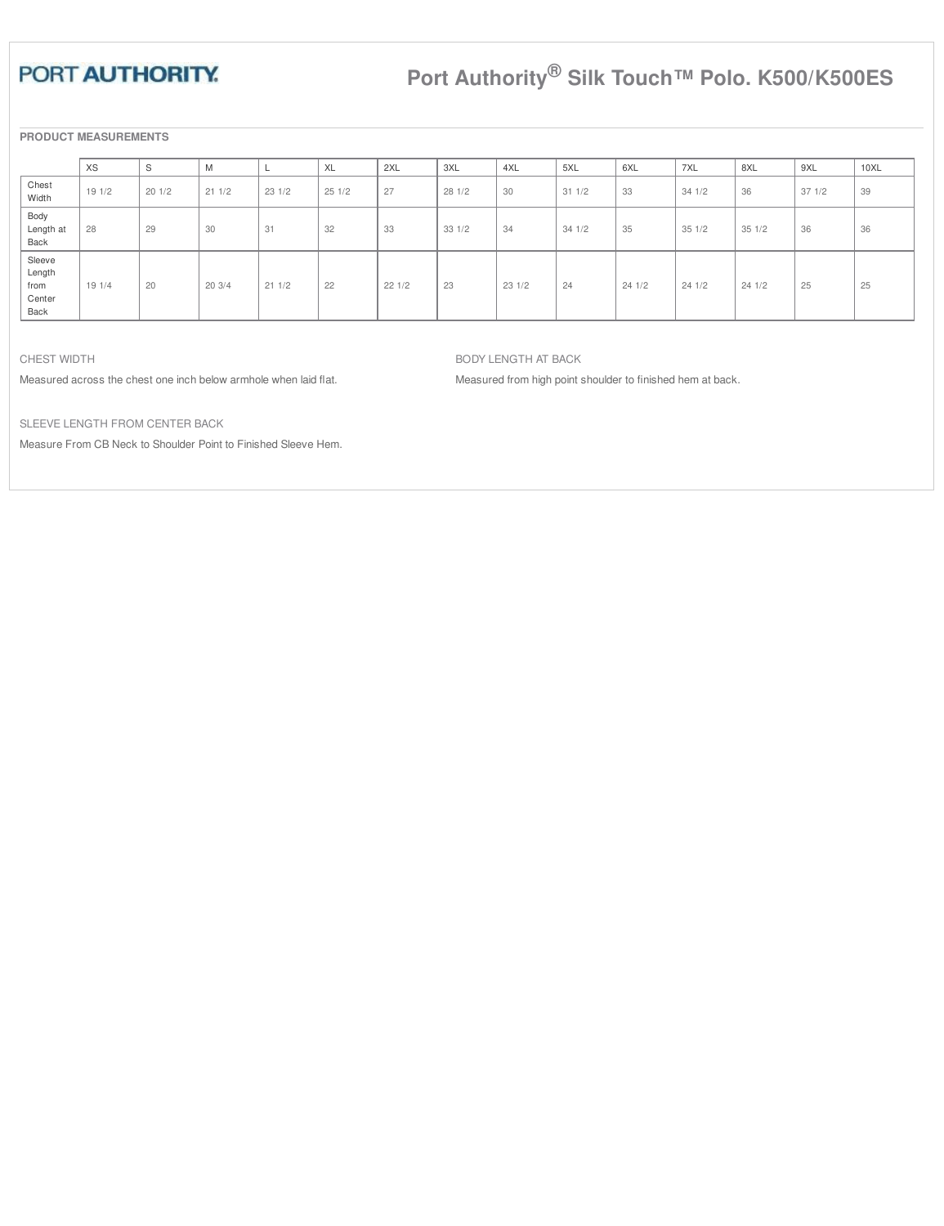# **Port Authority® Silk Touch™ Polo. K500/K500ES**

**PRODUCT MEASUREMENTS**

|                                            | XS    | S     | M     |       | XL    | 2XL   | 3XL   | 4XL   | 5XL   | 6XL   | 7XL   | 8XL   | 9XL   | 10XL |
|--------------------------------------------|-------|-------|-------|-------|-------|-------|-------|-------|-------|-------|-------|-------|-------|------|
| Chest<br>Width                             | 191/2 | 201/2 | 211/2 | 231/2 | 251/2 | 27    | 281/2 | 30    | 311/2 | 33    | 341/2 | 36    | 371/2 | 39   |
| Body<br>Length at<br>Back                  | 28    | 29    | 30    | 31    | 32    | 33    | 331/2 | 34    | 341/2 | 35    | 351/2 | 351/2 | 36    | 36   |
| Sleeve<br>Length<br>from<br>Center<br>Back | 191/4 | 20    | 203/4 | 211/2 | 22    | 221/2 | 23    | 231/2 | 24    | 241/2 | 241/2 | 241/2 | 25    | 25   |

CHEST WIDTH

Measured across the chest one inch below armhole when laid flat.

BODY LENGTH AT BACK

Measured from high point shoulder to finished hem at back.

SLEEVE LENGTH FROM CENTER BACK

Measure From CB Neck to Shoulder Point to Finished Sleeve Hem.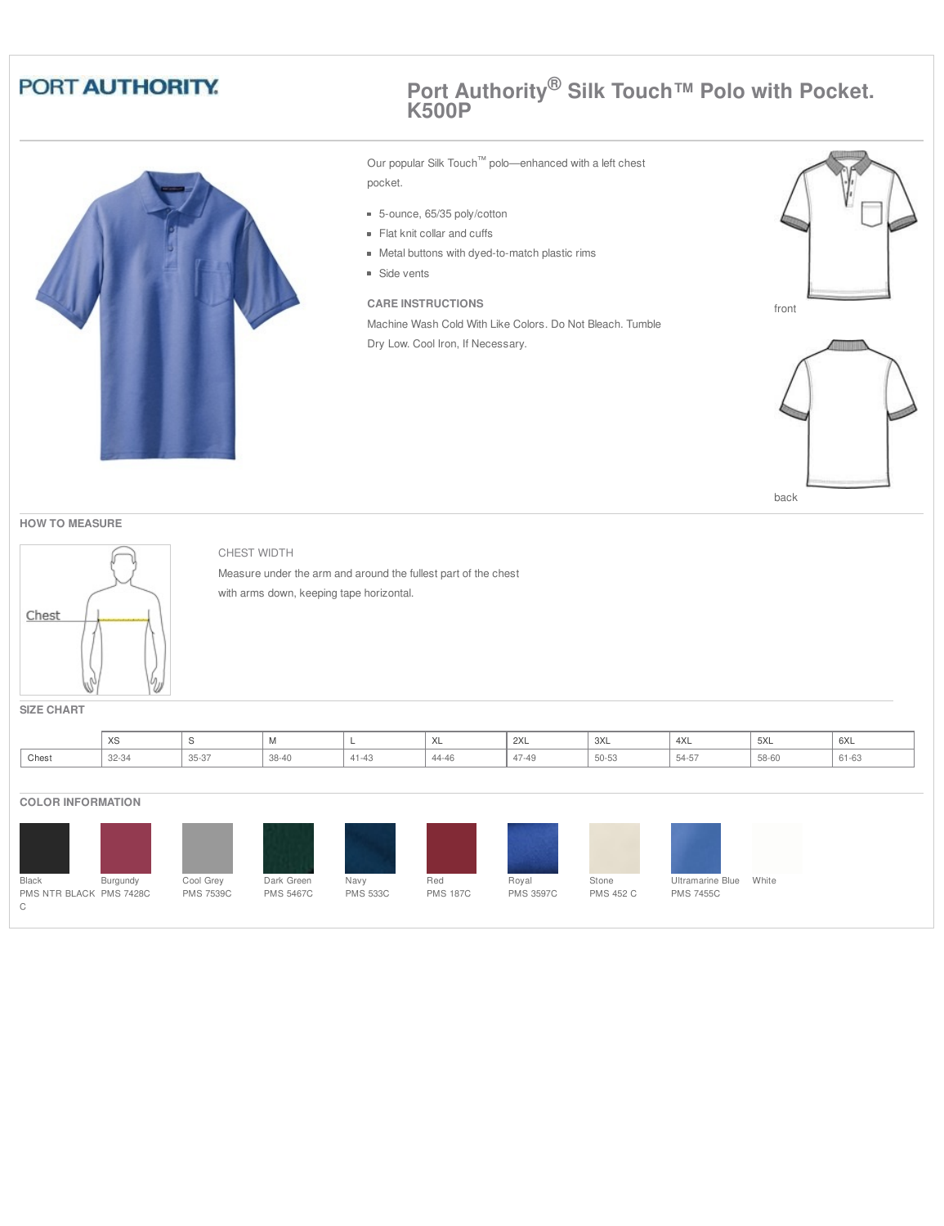

## **Port Authority® Silk Touch™ Polo with Pocket. K500P**

Our popular Silk Touch™ polo—enhanced with a left chest pocket.

- 5-ounce, 65/35 poly/cotton
- Flat knit collar and cuffs
- Metal buttons with dyed-to-match plastic rims
- **Side vents**

## **CARE INSTRUCTIONS**

Machine Wash Cold With Like Colors. Do Not Bleach. Tumble Dry Low. Cool Iron, If Necessary.





back

#### **HOW TO MEASURE**



#### CHEST WIDTH

Measure under the arm and around the fullest part of the chest with arms down, keeping tape horizontal.

**SIZE CHART**

|       | $\lambda$<br>$\sim$ |                      | $\mathbf{v}$ |                  | $\lambda$<br>$\lambda$ | 2XL          | $\frac{1}{3}$ 3XL | 4XL   | $\sim$<br>$\sqrt{2}$ | 6XL   |
|-------|---------------------|----------------------|--------------|------------------|------------------------|--------------|-------------------|-------|----------------------|-------|
| Chest | 32-34               | $0 - 0$<br>$35 - 37$ | 38-40        | $A + A$<br>41-43 | 11.0<br>-4-40          | 17.10<br>-45 | 50-53             | 54-57 | 58-60                | DI-D3 |

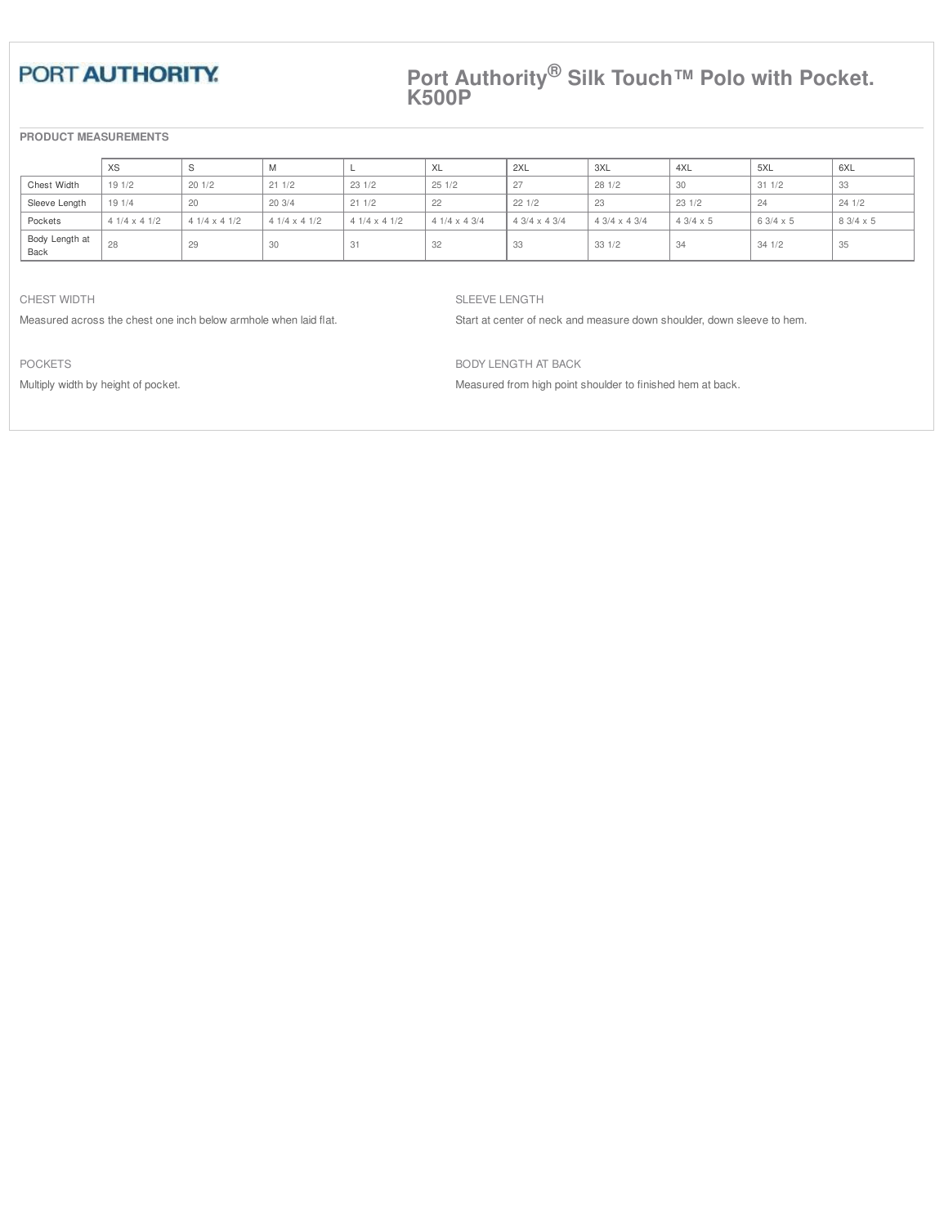## **Port Authority® Silk Touch™ Polo with Pocket. K500P**

## **PRODUCT MEASUREMENTS**

|                        | XS                 |                    | M                  |                    | XL                 | 2XL                | 3XL                  | 4XL             | 5XL             | 6XL             |
|------------------------|--------------------|--------------------|--------------------|--------------------|--------------------|--------------------|----------------------|-----------------|-----------------|-----------------|
| Chest Width            | 191/2              | 201/2              | 211/2              | 231/2              | 251/2              | 27                 | 281/2                | 30              | 311/2           | 33              |
| Sleeve Length          | 191/4              | -20                | 203/4              | 211/2              | 22                 | 221/2              | 23                   | 231/2           | 24              | 241/2           |
| Pockets                | $41/4 \times 41/2$ | $41/4 \times 41/2$ | $41/4 \times 41/2$ | $41/4 \times 41/2$ | $41/4 \times 43/4$ | $43/4 \times 43/4$ | $4.3/4 \times 4.3/4$ | $43/4 \times 5$ | $63/4 \times 5$ | $83/4 \times 5$ |
| Body Length at<br>Back | 28                 | 29                 | 30                 | -31                | 32                 | -33                | 331/2                |                 | 341/2           | 35              |

CHEST WIDTH

Measured across the chest one inch below armhole when laid flat.

SLEEVE LENGTH

Start at center of neck and measure down shoulder, down sleeve to hem.

POCKETS

Multiply width by height of pocket.

BODY LENGTH AT BACK Measured from high point shoulder to finished hem at back.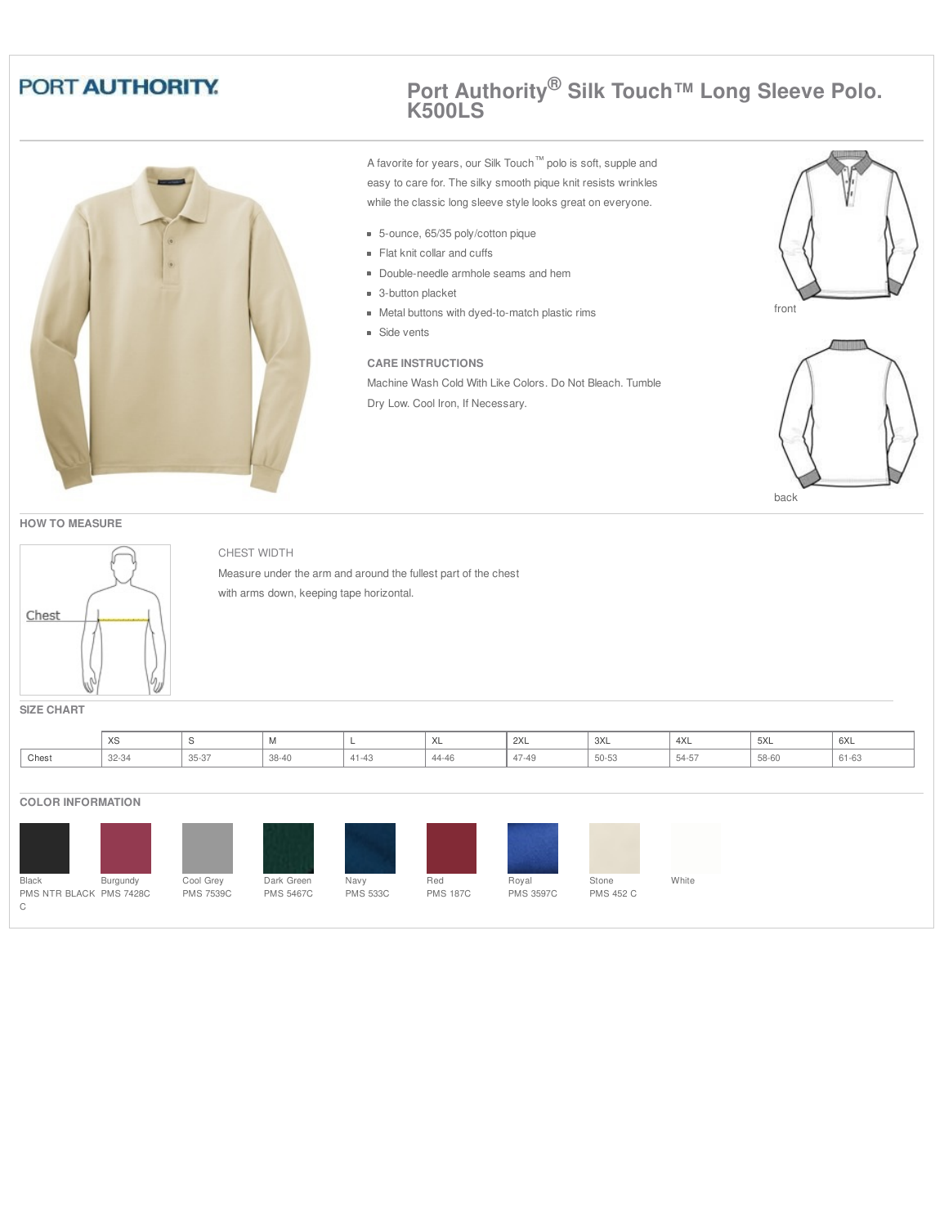

## **Port Authority® Silk Touch™ Long Sleeve Polo. K500LS**

A favorite for years, our Silk Touch™ polo is soft, supple and easy to care for. The silky smooth pique knit resists wrinkles while the classic long sleeve style looks great on everyone.

- 5-ounce, 65/35 poly/cotton pique
- Flat knit collar and cuffs
- Double-needle armhole seams and hem
- **3**-button placket
- Metal buttons with dyed-to-match plastic rims
- **Side vents**

#### **CARE INSTRUCTIONS**

Machine Wash Cold With Like Colors. Do Not Bleach. Tumble Dry Low. Cool Iron, If Necessary.





back





## CHEST WIDTH

Measure under the arm and around the fullest part of the chest with arms down, keeping tape horizontal.

**SIZE CHART**

|       | $\sqrt{2}$<br>∧ວ |                  |     |                  | $\cdot$<br>$\sqrt{2}$ | 2XL   | 3XL   | 4XL   | 5XL<br>$\sim$ $\sim$ | 6XL |
|-------|------------------|------------------|-----|------------------|-----------------------|-------|-------|-------|----------------------|-----|
| Chest | 32-34            | $0 - 0$<br>35-37 | UU. | $A - A$<br>41-43 | $\sqrt{2}$<br>+4-40   | 47-49 | 50-53 | 10-40 | 58-60                | -UU |

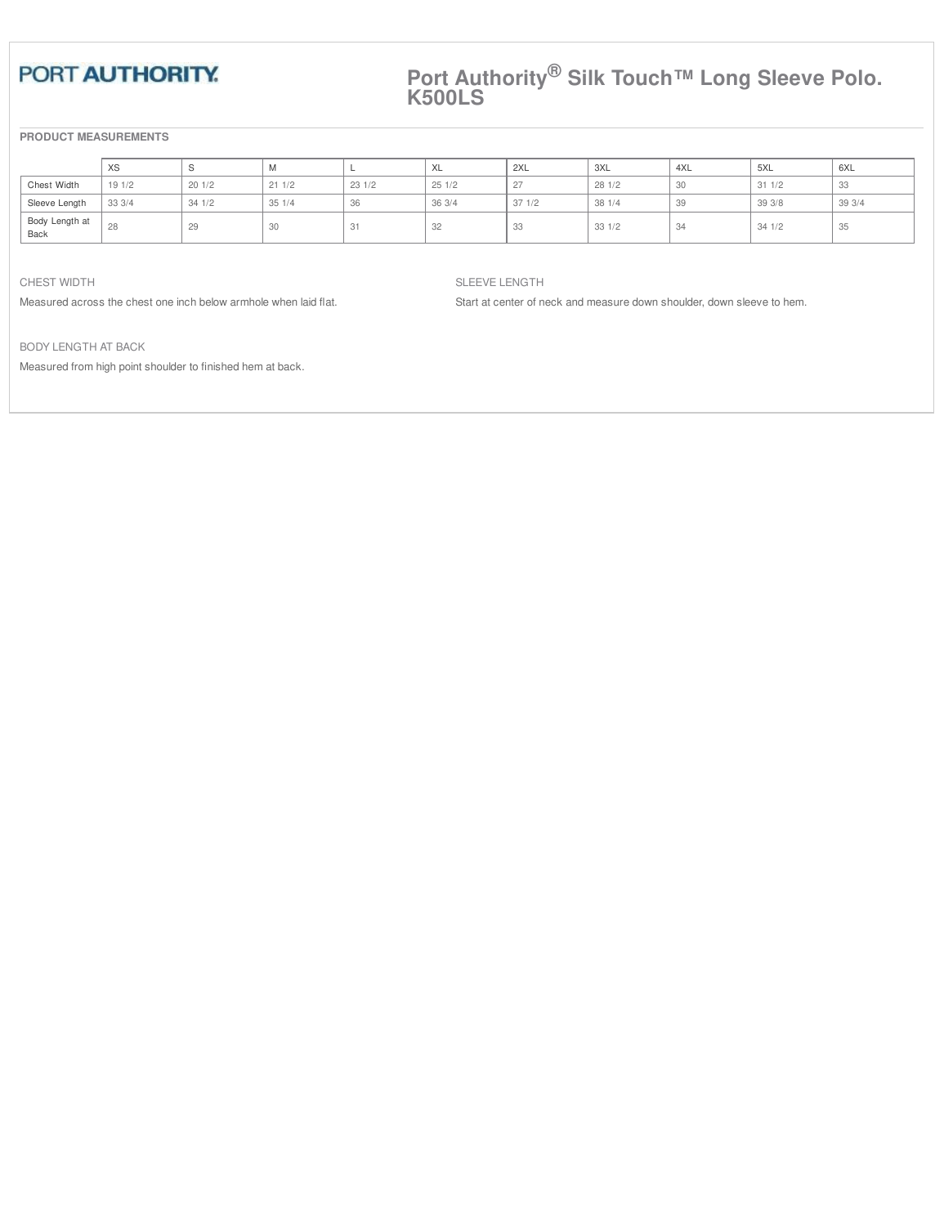## **Port Authority® Silk Touch™ Long Sleeve Polo. K500LS**

## **PRODUCT MEASUREMENTS**

|                        | XS    |       | <b>IVI</b> |       | XL    | 2XL   | 3XL    | 4XL  | 5XL    | 6XL   |
|------------------------|-------|-------|------------|-------|-------|-------|--------|------|--------|-------|
| Chest Width            | 191/2 | 201/2 | 211/2      | 231/2 | 251/2 | 27    | 281/2  | 30   | 311/2  | 33    |
| Sleeve Length          | 333/4 | 341/2 | 351/4      | 36    | 363/4 | 371/2 | 381//4 | 39   | 39 3/8 | 393/4 |
| Body Length at<br>Back | 28    | 29    | 30         | ◡     | 32    | 33    | 331/2  | - 34 | 341/2  | 35    |

#### CHEST WIDTH

Measured across the chest one inch below armhole when laid flat.

#### SLEEVE LENGTH

Start at center of neck and measure down shoulder, down sleeve to hem.

BODY LENGTH AT BACK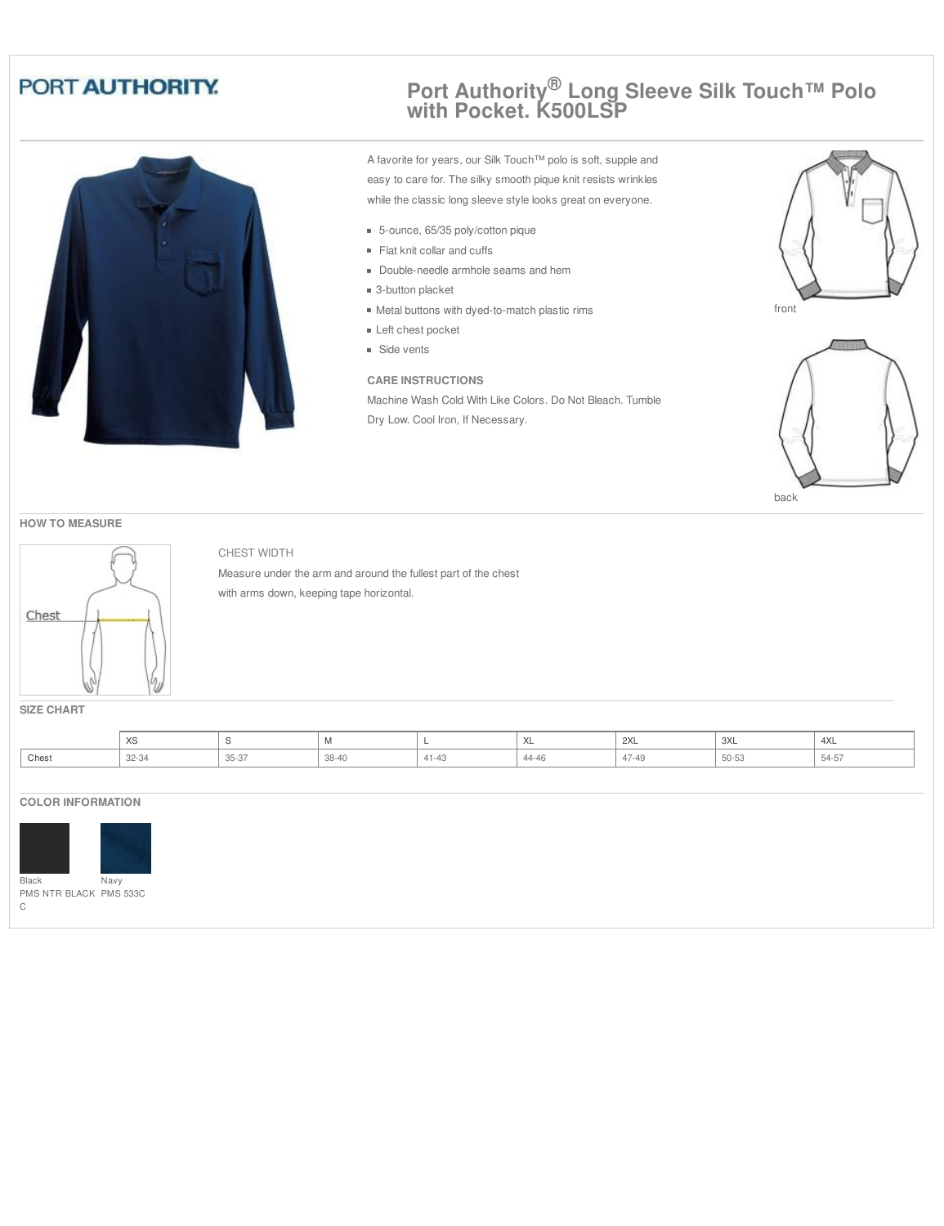

## **Port Authority® Long Sleeve Silk Touch™ Polo with Pocket. K500LSP**

A favorite for years, our Silk Touch™ polo is soft, supple and easy to care for. The silky smooth pique knit resists wrinkles while the classic long sleeve style looks great on everyone.

- 5-ounce, 65/35 poly/cotton pique
- Flat knit collar and cuffs
- Double-needle armhole seams and hem
- 3-button placket
- Metal buttons with dyed-to-match plastic rims
- Left chest pocket
- **Side vents**

## **CARE INSTRUCTIONS**

Machine Wash Cold With Like Colors. Do Not Bleach. Tumble Dry Low. Cool Iron, If Necessary.





back





## CHEST WIDTH

Measure under the arm and around the fullest part of the chest with arms down, keeping tape horizontal.

**SIZE CHART**

|       | $\sqrt{2}$<br>$\sim$ |                |       |          | $\sqrt{2}$   | 2XL   | ぃヽ                       | 4XL             |
|-------|----------------------|----------------|-------|----------|--------------|-------|--------------------------|-----------------|
| Chest | 22.23<br>ت.<br>--    | OF OT<br>, c-c | 38-40 | $\cdots$ | 111<br>44-40 | <br>. | $F \cap F \cap$<br>50-53 | - - - -<br>$-2$ |

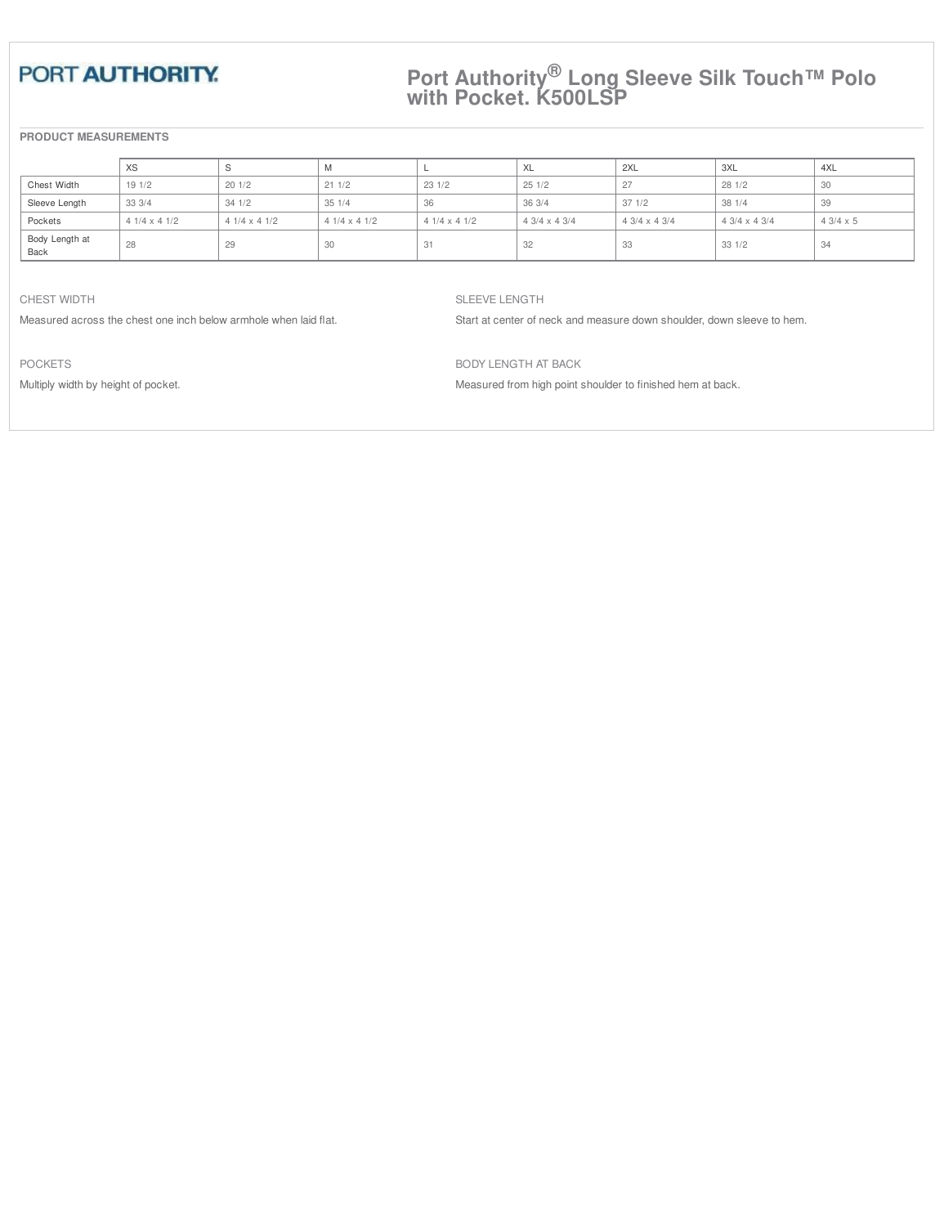## **Port Authority® Long Sleeve Silk Touch™ Polo with Pocket. K500LSP**

## **PRODUCT MEASUREMENTS**

|                        | XS                 |                    | 1VI                |                    | XL                   | 2XL                | 3XL                | 4XL             |
|------------------------|--------------------|--------------------|--------------------|--------------------|----------------------|--------------------|--------------------|-----------------|
| Chest Width            | 191/2              | 201/2              | 211/2              | 231/2              | 251/2                | 27                 | 281/2              | υU              |
| Sleeve Length          | 333/4              | 341/2              | 351/4              | 36                 | 363/4                | 371/2              | 381//4             | 39              |
| Pockets                | $41/4 \times 41/2$ | $41/4 \times 41/2$ | $41/4 \times 41/2$ | $41/4 \times 41/2$ | $4.3/4 \times 4.3/4$ | $43/4 \times 43/4$ | $43/4 \times 43/4$ | $43/4 \times 5$ |
| Body Length at<br>Back | 28                 | 29                 | 30                 |                    | 32                   | -33                | 331/2              |                 |

CHEST WIDTH

Measured across the chest one inch below armhole when laid flat.

SLEEVE LENGTH

Start at center of neck and measure down shoulder, down sleeve to hem.

POCKETS

Multiply width by height of pocket.

BODY LENGTH AT BACK Measured from high point shoulder to finished hem at back.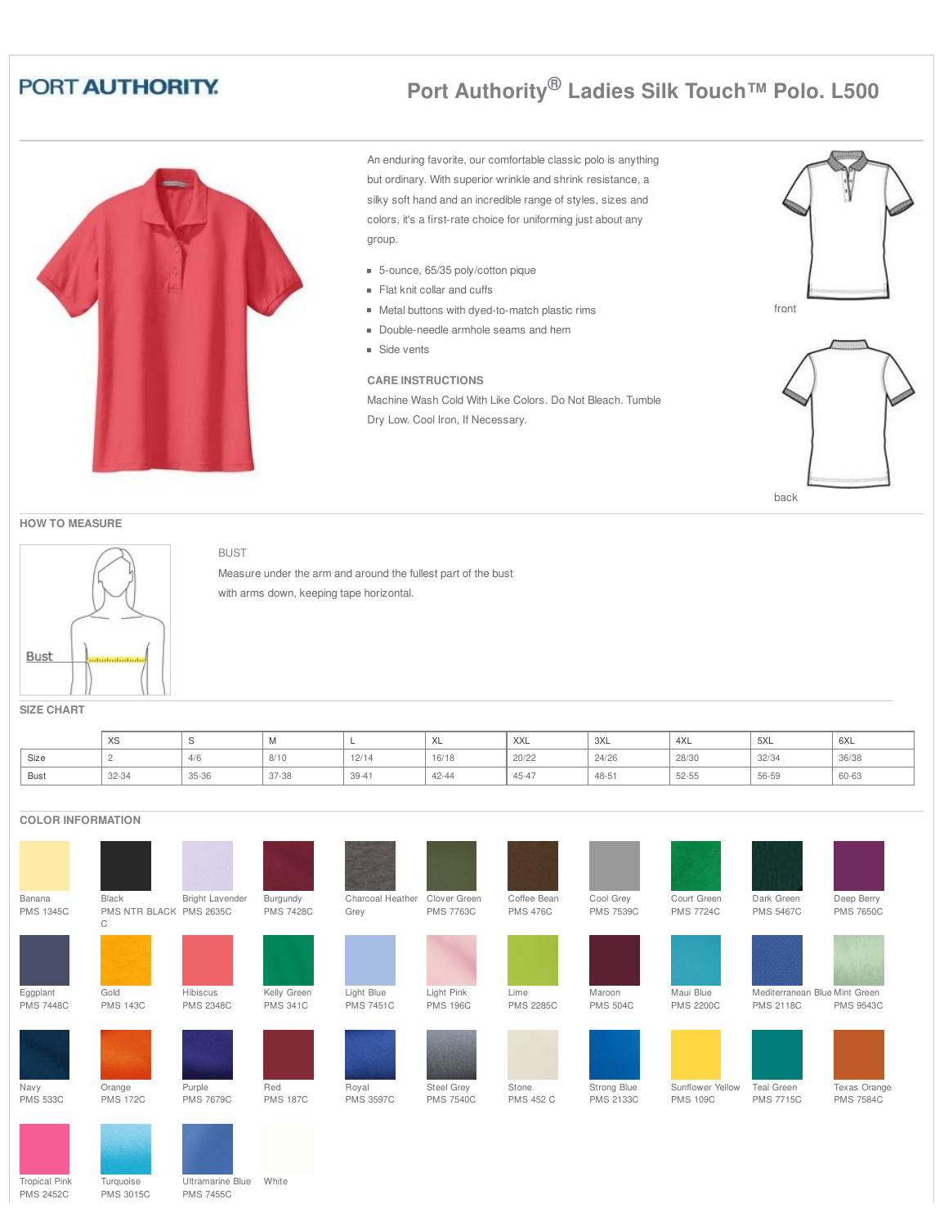# **Port Authority® Ladies Silk Touch™ Polo. L500**



An enduring favorite, our comfortable classic polo is anything but ordinary. With superior wrinkle and shrink resistance, a silky soft hand and an incredible range of styles, sizes and colors, it's a first-rate choice for uniforming just about any group.

- 5-ounce, 65/35 poly/cotton pique
- Flat knit collar and cuffs
- Metal buttons with dyed-to-match plastic rims
- Double-needle armhole seams and hem
- **Side vents**

## **CARE INSTRUCTIONS**

Machine Wash Cold With Like Colors. Do Not Bleach. Tumble Dry Low. Cool Iron, If Necessary.





#### **HOW TO MEASURE**



## BUST

Measure under the arm and around the fullest part of the bust with arms down, keeping tape horizontal.

**SIZE CHART**

|             | $\sqrt{2}$<br>$\sim$ |       | $\mathbf{v}$ |           | ◠∟        | <b>XXL</b> | 3XL   | 4XL       | 5XL   | 6XL   |
|-------------|----------------------|-------|--------------|-----------|-----------|------------|-------|-----------|-------|-------|
| Size<br>. . |                      | 4/0   | 8/10         | 12/14     | 16/18     | 20/22      | 24/26 | 28/30     | 32/34 | 36/38 |
| Bust<br>$-$ | 32-34                | 35-36 | 37-38        | $39 - 41$ | $42 - 44$ | 45-47      | 48-51 | $52 - 55$ | 56-59 | 60-63 |

| <b>COLOR INFORMATION</b> |                              |                  |                  |                  |                   |                  |                  |                  |                               |                  |
|--------------------------|------------------------------|------------------|------------------|------------------|-------------------|------------------|------------------|------------------|-------------------------------|------------------|
|                          |                              |                  |                  |                  |                   |                  |                  |                  |                               |                  |
| Banana                   | Black                        | Bright Lavender  | Burgundy         | Charcoal Heather | Clover Green      | Coffee Bean      | Cool Grey        | Court Green      | Dark Green                    | Deep Berry       |
| <b>PMS 1345C</b>         | PMS NTR BLACK PMS 2635C<br>C |                  | <b>PMS 7428C</b> | Grey             | <b>PMS 7763C</b>  | <b>PMS 476C</b>  | <b>PMS 7539C</b> | <b>PMS 7724C</b> | <b>PMS 5467C</b>              | <b>PMS 7650C</b> |
|                          |                              |                  |                  |                  |                   |                  |                  |                  |                               |                  |
| Eggplant                 | Gold                         | Hibiscus         | Kelly Green      | Light Blue       | Light Pink        | Lime             | Maroon           | Maui Blue        | Mediterranean Blue Mint Green |                  |
| <b>PMS 7448C</b>         | <b>PMS 143C</b>              | <b>PMS 2348C</b> | <b>PMS 341C</b>  | <b>PMS 7451C</b> | <b>PMS 196C</b>   | <b>PMS 2285C</b> | <b>PMS 504C</b>  | <b>PMS 2200C</b> | <b>PMS 2118C</b>              | <b>PMS 9543C</b> |
|                          |                              |                  |                  |                  |                   |                  |                  |                  |                               |                  |
| Navy                     | Orange                       | Purple           | Red              | Royal            | <b>Steel Grey</b> | Stone            | Strong Blue      | Sunflower Yellow | Teal Green                    | Texas Orange     |
| <b>PMS 533C</b>          | <b>PMS 172C</b>              | <b>PMS 7679C</b> | <b>PMS 187C</b>  | <b>PMS 3597C</b> | <b>PMS 7540C</b>  | <b>PMS 452 C</b> | <b>PMS 2133C</b> | <b>PMS 109C</b>  | <b>PMS 7715C</b>              | <b>PMS 7584C</b> |
|                          |                              |                  |                  |                  |                   |                  |                  |                  |                               |                  |

Tropical Pink PMS 2452C **Turquoise** PMS 3015C

Ultramarine Blue White PMS 7455C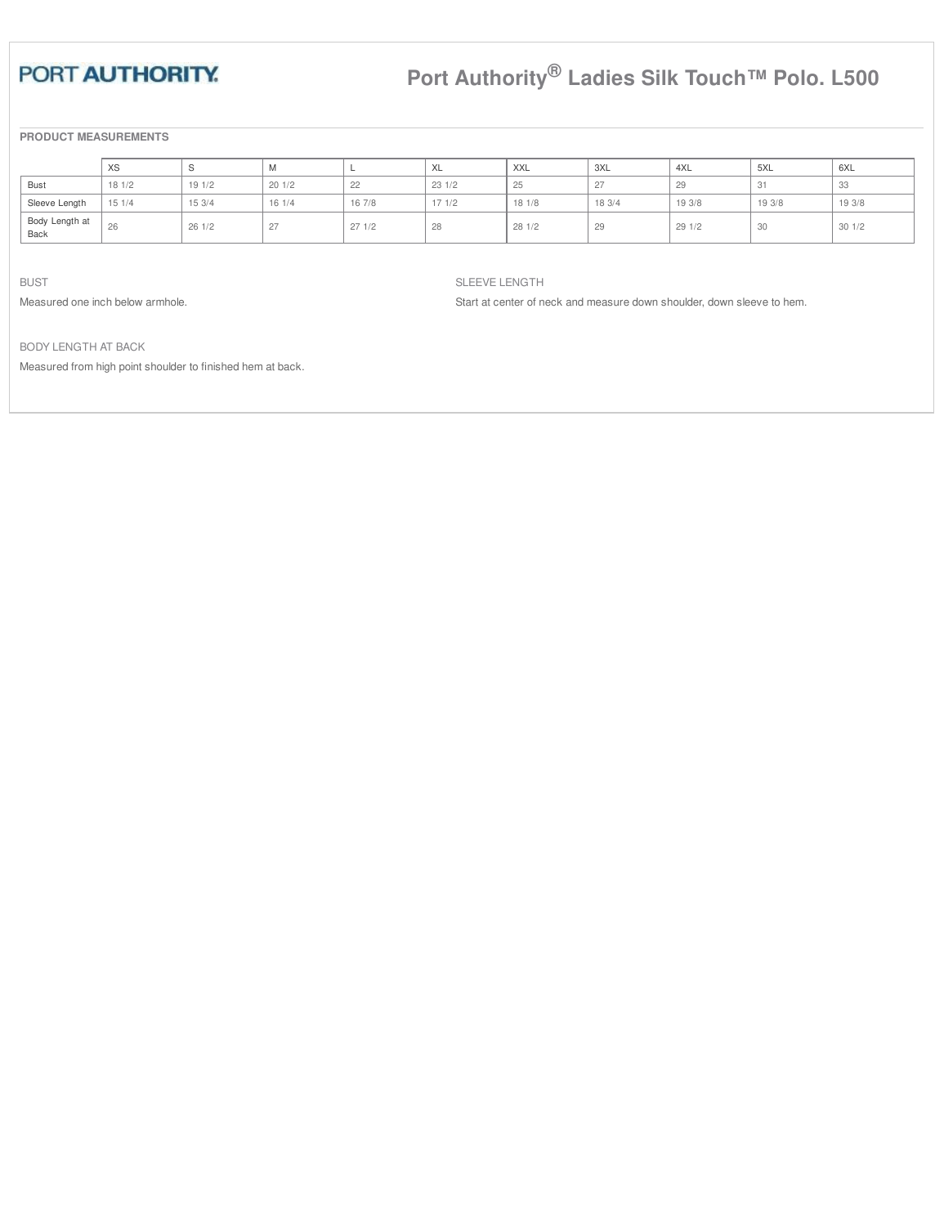# **Port Authority® Ladies Silk Touch™ Polo. L500**

## **PRODUCT MEASUREMENTS**

|                        | XS    |        | $\mathbf{v}$     |        | XL    | XXL    | 3XL    | 4XL    | 5XL    | 6XL    |
|------------------------|-------|--------|------------------|--------|-------|--------|--------|--------|--------|--------|
| Bust                   | 181/2 | 191/2  | 201/2            | 22     | 231/2 | 25     | 27     | 29     | 31     | 33     |
| Sleeve Length          | 151/4 | 15 3/4 | 161/4            | 16 7/8 | 171/2 | 18 1/8 | 18 3/4 | 19 3/8 | 19 3/8 | 19 3/8 |
| Body Length at<br>Back | 26    | 261/2  | 27<br>$\epsilon$ | 271/2  | 28    | 281/2  | 29     | 291/2  | 30     | 301/2  |

BUST

Measured one inch below armhole.

SLEEVE LENGTH

Start at center of neck and measure down shoulder, down sleeve to hem.

BODY LENGTH AT BACK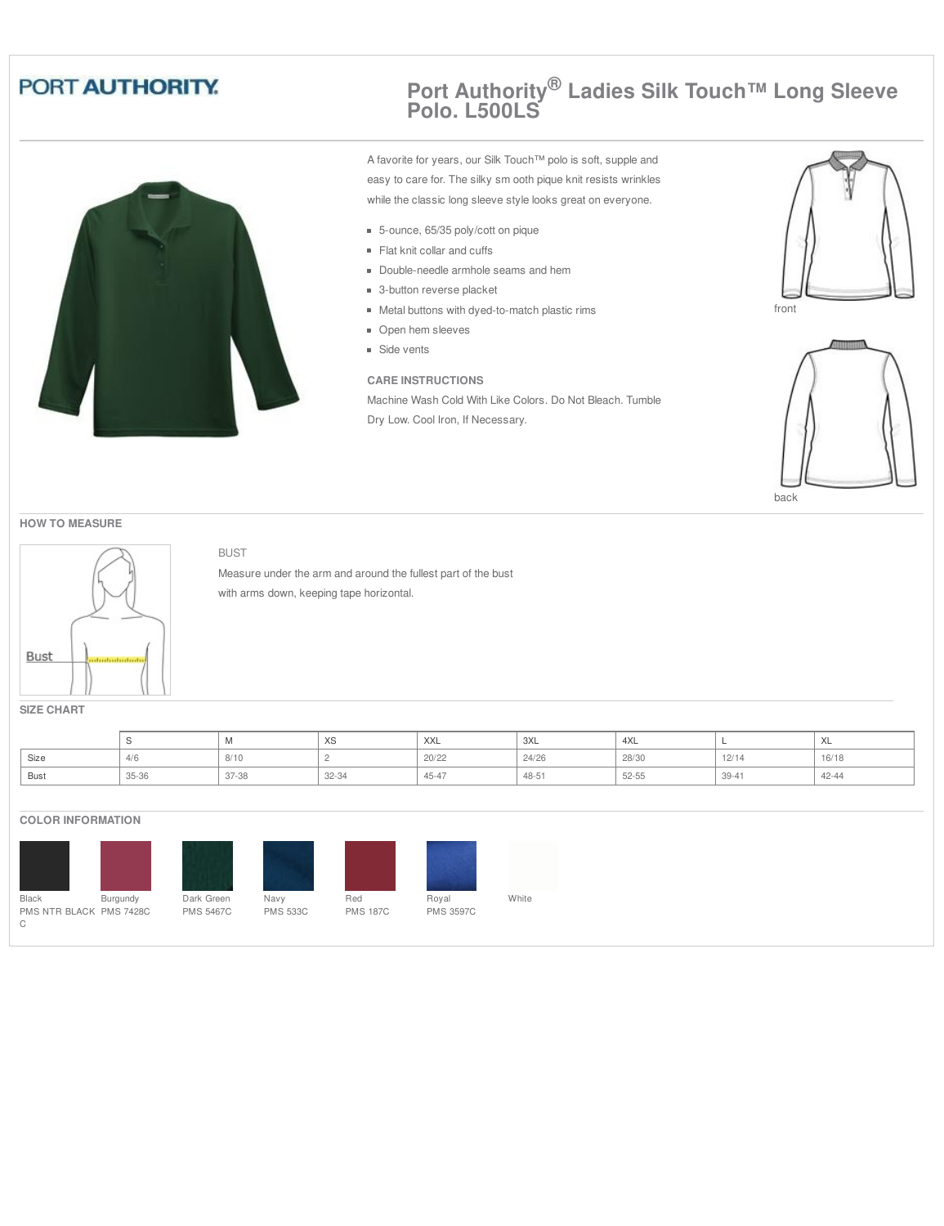

## **Port Authority® Ladies Silk Touch™ Long Sleeve Polo. L500LS**

A favorite for years, our Silk Touch™ polo is soft, supple and easy to care for. The silky sm ooth pique knit resists wrinkles while the classic long sleeve style looks great on everyone.

- 5-ounce, 65/35 poly/cott on pique
- Flat knit collar and cuffs
- Double-needle armhole seams and hem
- 3-button reverse placket
- Metal buttons with dyed-to-match plastic rims
- **Open hem sleeves**
- **Side vents**

## **CARE INSTRUCTIONS**

Machine Wash Cold With Like Colors. Do Not Bleach. Tumble Dry Low. Cool Iron, If Necessary.





back

#### **HOW TO MEASURE**



BUST

Measure under the arm and around the fullest part of the bust with arms down, keeping tape horizontal.

**SIZE CHART**

|      |       | $\mathbf{v}$ | $\sqrt{2}$<br>$\sim$ | <b>XXL</b> | 3XL    | 434<br>4 X L |           | ᄉ     |
|------|-------|--------------|----------------------|------------|--------|--------------|-----------|-------|
| Size | $+10$ | 8/10         |                      | 20/22      | 24/26  | 28/30        | 12/14     | 16/18 |
| Bust | 35-36 | 37-38        | 32-34                | 45-47      | $48-5$ | $52 - 55$    | $39 - 41$ | 42-44 |

## **COLOR INFORMATION**



Dark Green PMS 5467C Navy PMS 533C







Royal PMS 3597C



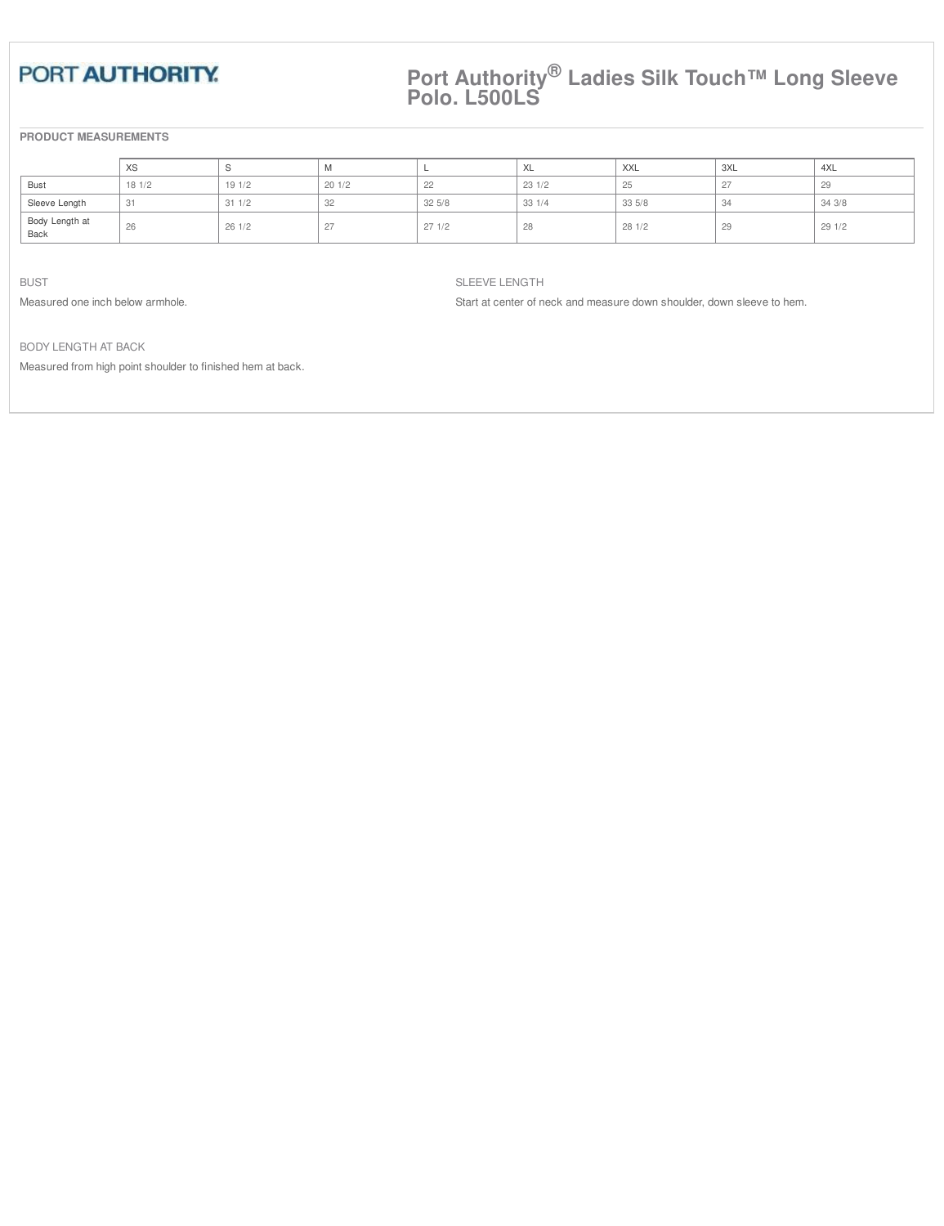## **Port Authority® Ladies Silk Touch™ Long Sleeve Polo. L500LS**

## **PRODUCT MEASUREMENTS**

|                        | XS    |       | M          |        | <b>XL</b> | <b>XXL</b> | 3XL              | 4XL    |
|------------------------|-------|-------|------------|--------|-----------|------------|------------------|--------|
| Bust                   | 181/2 | 191/2 | 201/2      | $\sim$ | 231/2     | 25         | $\sim$           | $\sim$ |
| Sleeve Length          | 31    | 311/2 | 32         | 325/8  | 331/4     | 335/8      | 34               | 343/8  |
| Body Length at<br>Back | 26    | 261/2 | 27<br>$-1$ | 271/2  | 28        | 281/2      | $^{\circ}$<br>co | 291/2  |

BUST

Measured one inch below armhole.

SLEEVE LENGTH

Start at center of neck and measure down shoulder, down sleeve to hem.

BODY LENGTH AT BACK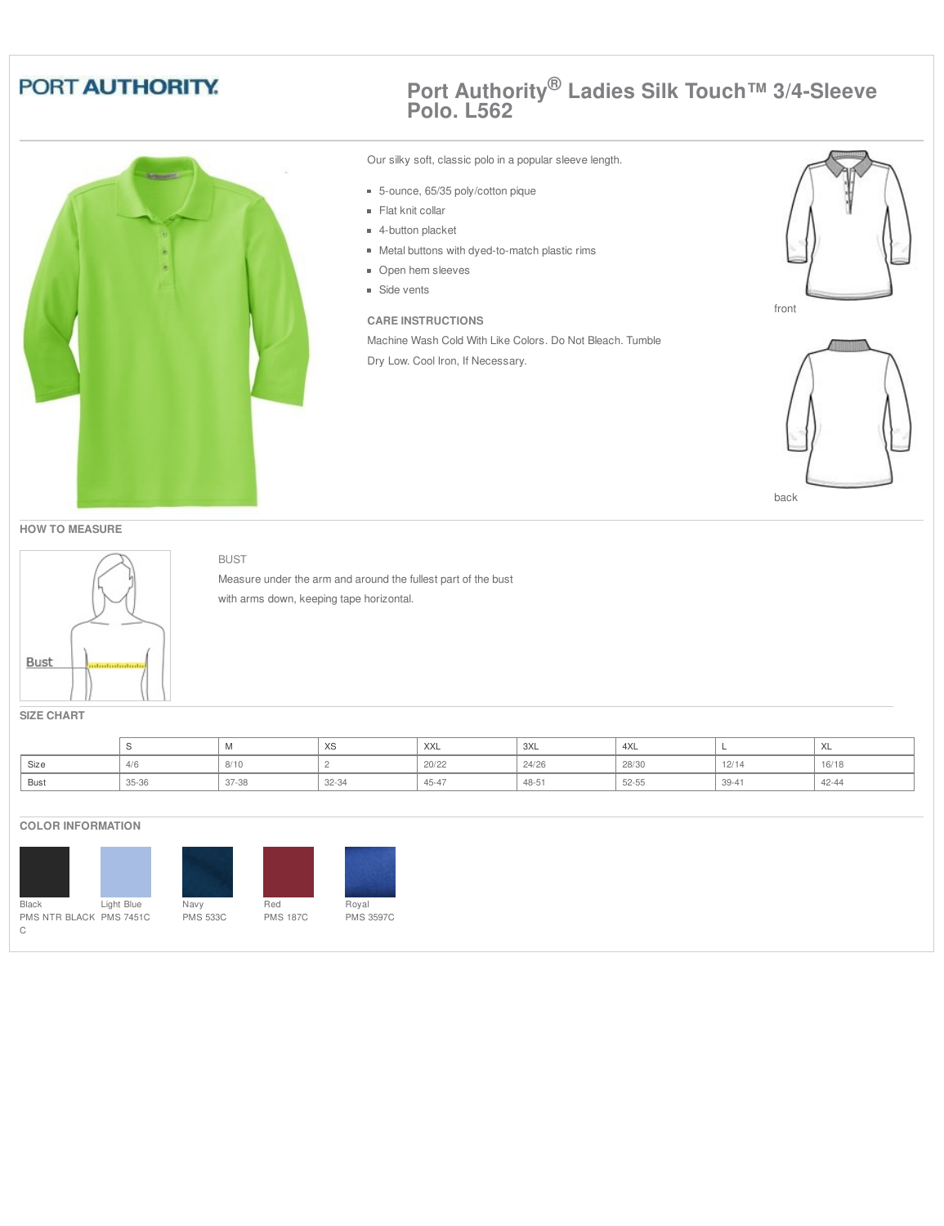

BUST

## **Port Authority® Ladies Silk Touch™ 3/4-Sleeve Polo. L562**

Our silky soft, classic polo in a popular sleeve length.

- 5-ounce, 65/35 poly/cotton pique
- Flat knit collar
- 4-button placket
- Metal buttons with dyed-to-match plastic rims
- **Open hem sleeves**
- **Side vents**

## **CARE INSTRUCTIONS**

Machine Wash Cold With Like Colors. Do Not Bleach. Tumble Dry Low. Cool Iron, If Necessary.





back

#### **HOW TO MEASURE**



Measure under the arm and around the fullest part of the bust with arms down, keeping tape horizontal.

**SIZE CHART**

|      |       | <b>IVI</b> | ົ∧ບ   | XXL       | 3XL   | $\Lambda$<br>ユヘレ |           | $\ddot{\phantom{0}}$<br>∧∟ |
|------|-------|------------|-------|-----------|-------|------------------|-----------|----------------------------|
| Size |       | 8/10       |       | 20/22     | 24/26 | 28/30            | 12/14     | 16/18                      |
| Bust | 35-36 | 37-38      | 32-34 | $45 - 47$ | 48-51 | 52-55            | $39 - 41$ | $42 - 44$                  |

#### **COLOR INFORMATION**



Red PMS 187C



PMS 3597C